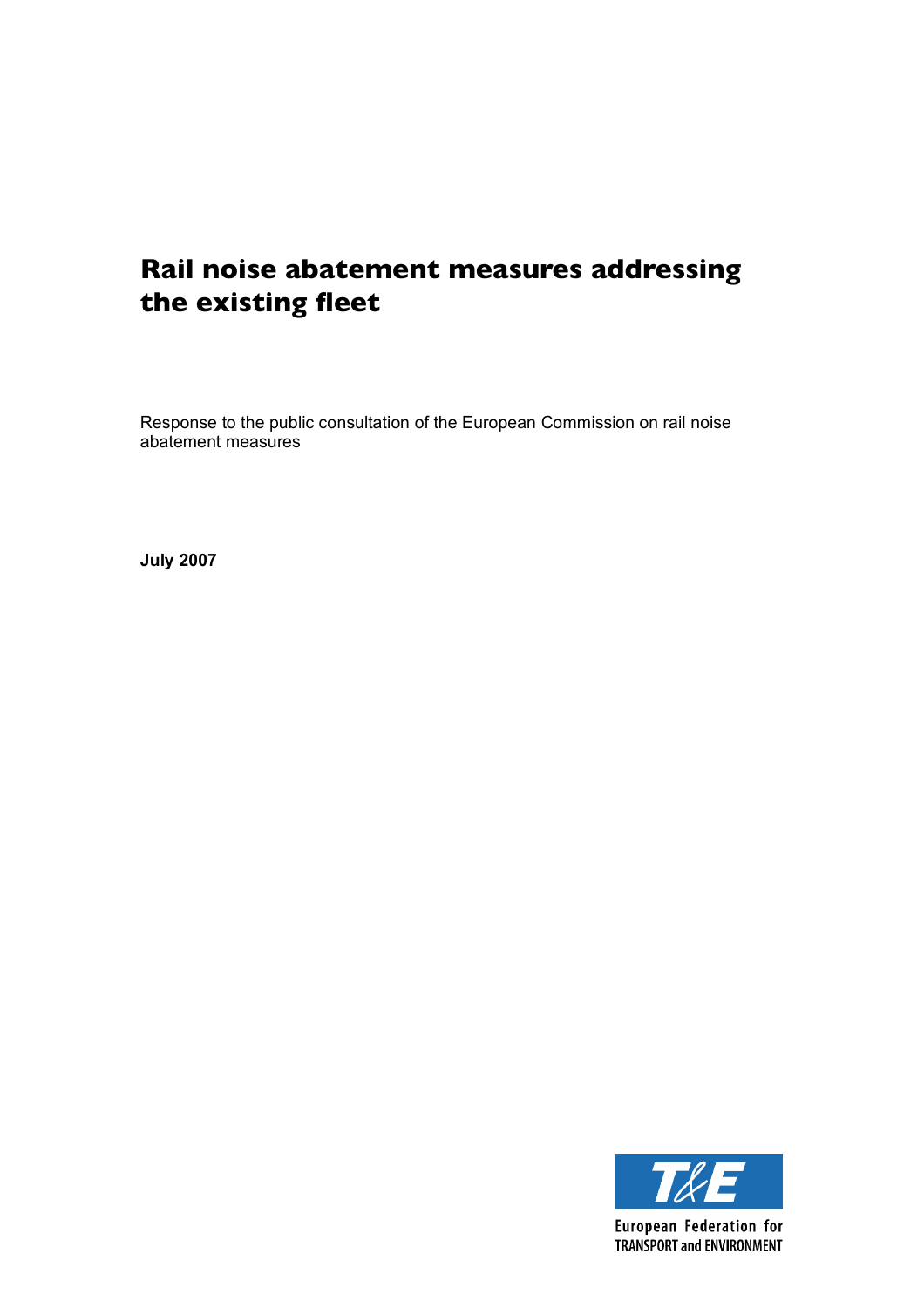# **Rail noise abatement measures addressing the existing fleet**

Response to the public consultation of the European Commission on rail noise abatement measures

**July 2007**

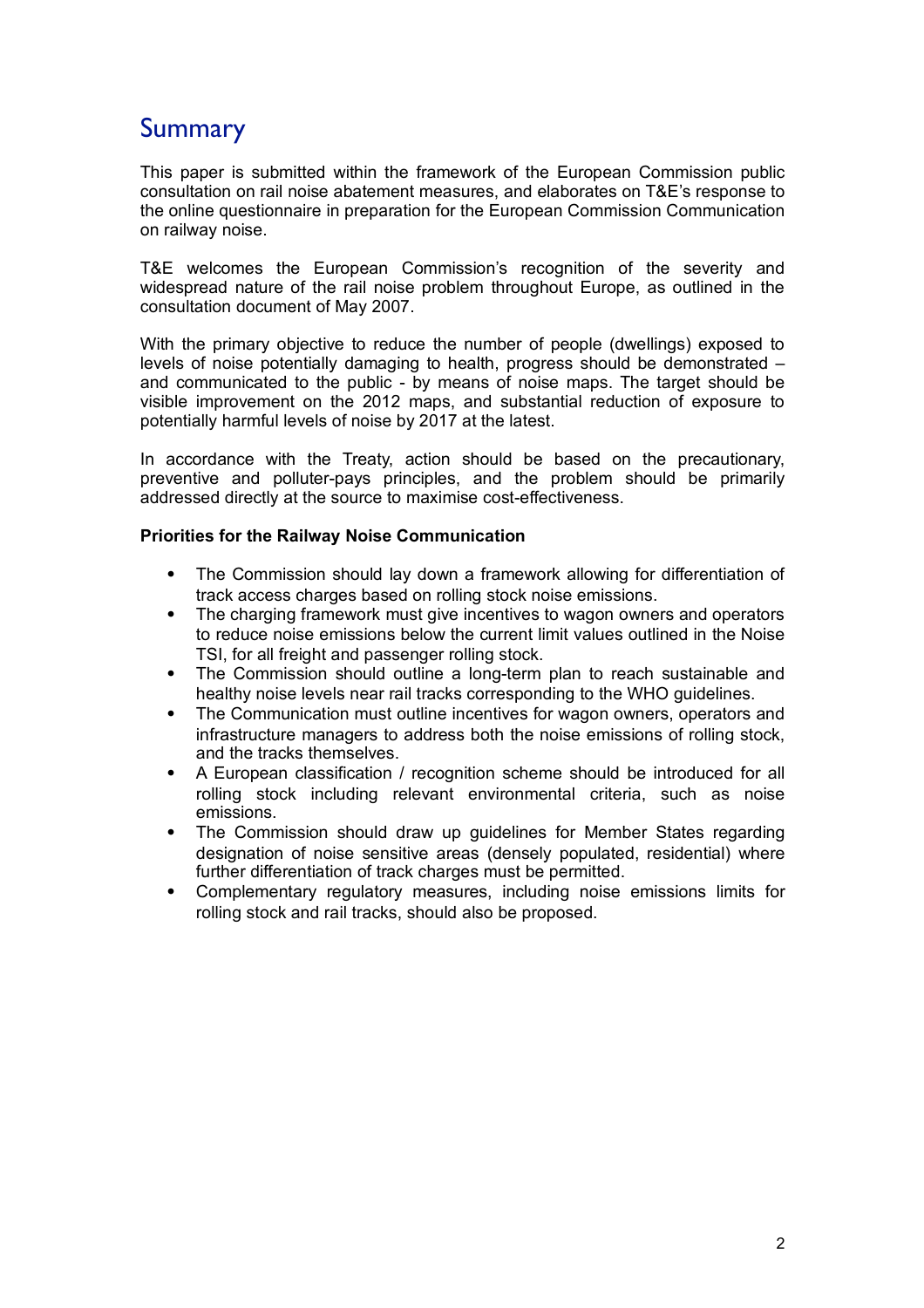## **Summary**

This paper is submitted within the framework of the European Commission public consultation on rail noise abatement measures, and elaborates on T&E's response to the online questionnaire in preparation for the European Commission Communication on railway noise.

T&E welcomes the European Commission's recognition of the severity and widespread nature of the rail noise problem throughout Europe, as outlined in the consultation document of May 2007.

With the primary objective to reduce the number of people (dwellings) exposed to levels of noise potentially damaging to health, progress should be demonstrated – and communicated to the public - by means of noise maps. The target should be visible improvement on the 2012 maps, and substantial reduction of exposure to potentially harmful levels of noise by 2017 at the latest.

In accordance with the Treaty, action should be based on the precautionary, preventive and polluter-pays principles, and the problem should be primarily addressed directly at the source to maximise cost-effectiveness.

#### **Priorities for the Railway Noise Communication**

- The Commission should lay down a framework allowing for differentiation of track access charges based on rolling stock noise emissions.
- The charging framework must give incentives to wagon owners and operators to reduce noise emissions below the current limit values outlined in the Noise TSI, for all freight and passenger rolling stock.
- The Commission should outline a long-term plan to reach sustainable and healthy noise levels near rail tracks corresponding to the WHO guidelines.
- The Communication must outline incentives for wagon owners, operators and infrastructure managers to address both the noise emissions of rolling stock, and the tracks themselves.
- A European classification / recognition scheme should be introduced for all rolling stock including relevant environmental criteria, such as noise emissions.
- The Commission should draw up guidelines for Member States regarding designation of noise sensitive areas (densely populated, residential) where further differentiation of track charges must be permitted.
- Complementary regulatory measures, including noise emissions limits for rolling stock and rail tracks, should also be proposed.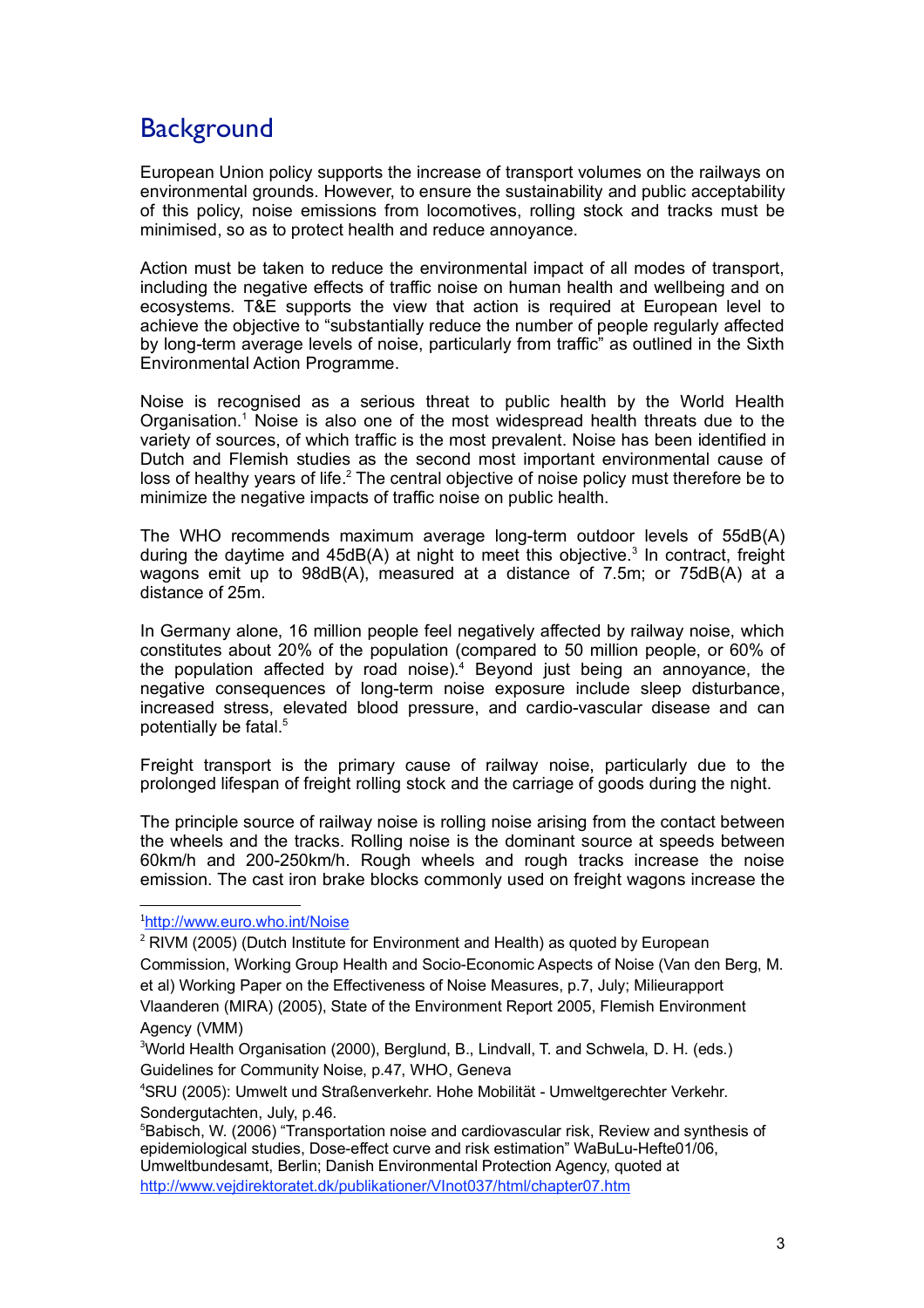# **Background**

European Union policy supports the increase of transport volumes on the railways on environmental grounds. However, to ensure the sustainability and public acceptability of this policy, noise emissions from locomotives, rolling stock and tracks must be minimised, so as to protect health and reduce annoyance.

Action must be taken to reduce the environmental impact of all modes of transport, including the negative effects of traffic noise on human health and wellbeing and on ecosystems. T&E supports the view that action is required at European level to achieve the objective to "substantially reduce the number of people regularly affected by long-term average levels of noise, particularly from traffic" as outlined in the Sixth Environmental Action Programme.

Noise is recognised as a serious threat to public health by the World Health Organisation. <sup>1</sup> Noise is also one of the most widespread health threats due to the variety of sources, of which traffic is the most prevalent. Noise has been identified in Dutch and Flemish studies as the second most important environmental cause of loss of healthy years of life.<sup>2</sup> The central objective of noise policy must therefore be to minimize the negative impacts of traffic noise on public health.

The WHO recommends maximum average long-term outdoor levels of 55dB(A) during the daytime and 45dB(A) at night to meet this objective. <sup>3</sup> In contract, freight wagons emit up to 98dB(A), measured at a distance of 7.5m; or 75dB(A) at a distance of 25m.

In Germany alone, 16 million people feel negatively affected by railway noise, which constitutes about 20% of the population (compared to 50 million people, or 60% of the population affected by road noise). <sup>4</sup> Beyond just being an annoyance, the negative consequences of long-term noise exposure include sleep disturbance, increased stress, elevated blood pressure, and cardio-vascular disease and can potentially be fatal. 5

Freight transport is the primary cause of railway noise, particularly due to the prolonged lifespan of freight rolling stock and the carriage of goods during the night.

The principle source of railway noise is rolling noise arising from the contact between the wheels and the tracks. Rolling noise is the dominant source at speeds between 60km/h and 200-250km/h. Rough wheels and rough tracks increase the noise emission. The cast iron brake blocks commonly used on freight wagons increase the

#### <sup>1</sup>http://www.euro.who.int/Noise

 $2$  RIVM (2005) (Dutch Institute for Environment and Health) as quoted by European Commission, Working Group Health and Socio-Economic Aspects of Noise (Van den Berg, M. et al) Working Paper on the Effectiveness of Noise Measures, p.7, July; Milieurapport Vlaanderen (MIRA) (2005), State of the Environment Report 2005, Flemish Environment Agency (VMM)

<sup>3</sup>World Health Organisation (2000), Berglund, B., Lindvall, T. and Schwela, D. H. (eds.) Guidelines for Community Noise, p.47, WHO, Geneva

4 SRU (2005): Umwelt und Straßenverkehr. Hohe Mobilität - Umweltgerechter Verkehr. Sondergutachten, July, p.46.

5 Babisch, W. (2006) "Transportation noise and cardiovascular risk, Review and synthesis of epidemiological studies, Dose-effect curve and risk estimation" WaBuLu-Hefte01/06, Umweltbundesamt, Berlin; Danish Environmental Protection Agency, quoted at http://www.vejdirektoratet.dk/publikationer/VInot037/html/chapter07.htm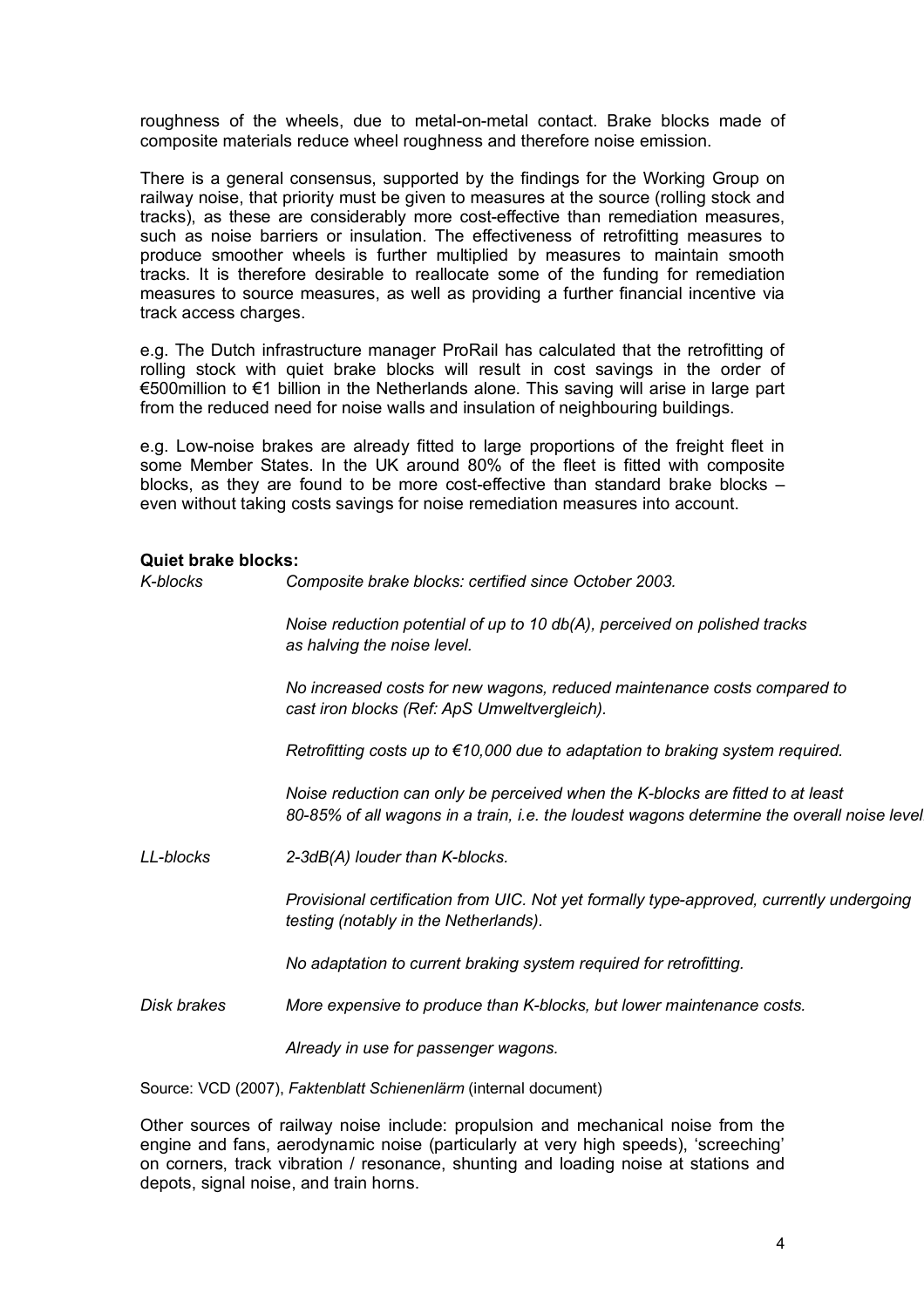roughness of the wheels, due to metal-on-metal contact. Brake blocks made of composite materials reduce wheel roughness and therefore noise emission.

There is a general consensus, supported by the findings for the Working Group on railway noise, that priority must be given to measures at the source (rolling stock and tracks), as these are considerably more cost-effective than remediation measures, such as noise barriers or insulation. The effectiveness of retrofitting measures to produce smoother wheels is further multiplied by measures to maintain smooth tracks. It is therefore desirable to reallocate some of the funding for remediation measures to source measures, as well as providing a further financial incentive via track access charges.

e.g. The Dutch infrastructure manager ProRail has calculated that the retrofitting of rolling stock with quiet brake blocks will result in cost savings in the order of €500million to €1 billion in the Netherlands alone. This saving will arise in large part from the reduced need for noise walls and insulation of neighbouring buildings.

e.g. Low-noise brakes are already fitted to large proportions of the freight fleet in some Member States. In the UK around 80% of the fleet is fitted with composite blocks, as they are found to be more cost-effective than standard brake blocks – even without taking costs savings for noise remediation measures into account.

#### **Quiet brake blocks:**

| <b>Quiet brake blocks:</b> |                                                                                                                                                                              |
|----------------------------|------------------------------------------------------------------------------------------------------------------------------------------------------------------------------|
| K-blocks                   | Composite brake blocks: certified since October 2003.                                                                                                                        |
|                            | Noise reduction potential of up to 10 db(A), perceived on polished tracks<br>as halving the noise level.                                                                     |
|                            | No increased costs for new wagons, reduced maintenance costs compared to<br>cast iron blocks (Ref: ApS Umweltvergleich).                                                     |
|                            | Retrofitting costs up to $\epsilon$ 10,000 due to adaptation to braking system required.                                                                                     |
|                            | Noise reduction can only be perceived when the K-blocks are fitted to at least<br>80-85% of all wagons in a train, i.e. the loudest wagons determine the overall noise level |
| LL-blocks                  | 2-3dB(A) louder than K-blocks.                                                                                                                                               |
|                            | Provisional certification from UIC. Not yet formally type-approved, currently undergoing<br>testing (notably in the Netherlands).                                            |
|                            | No adaptation to current braking system required for retrofitting.                                                                                                           |
| Disk brakes                | More expensive to produce than K-blocks, but lower maintenance costs.                                                                                                        |

*Already in use for passenger wagons.*

Source: VCD (2007), *Faktenblatt Schienenlärm* (internal document)

Other sources of railway noise include: propulsion and mechanical noise from the engine and fans, aerodynamic noise (particularly at very high speeds), 'screeching' on corners, track vibration / resonance, shunting and loading noise at stations and depots, signal noise, and train horns.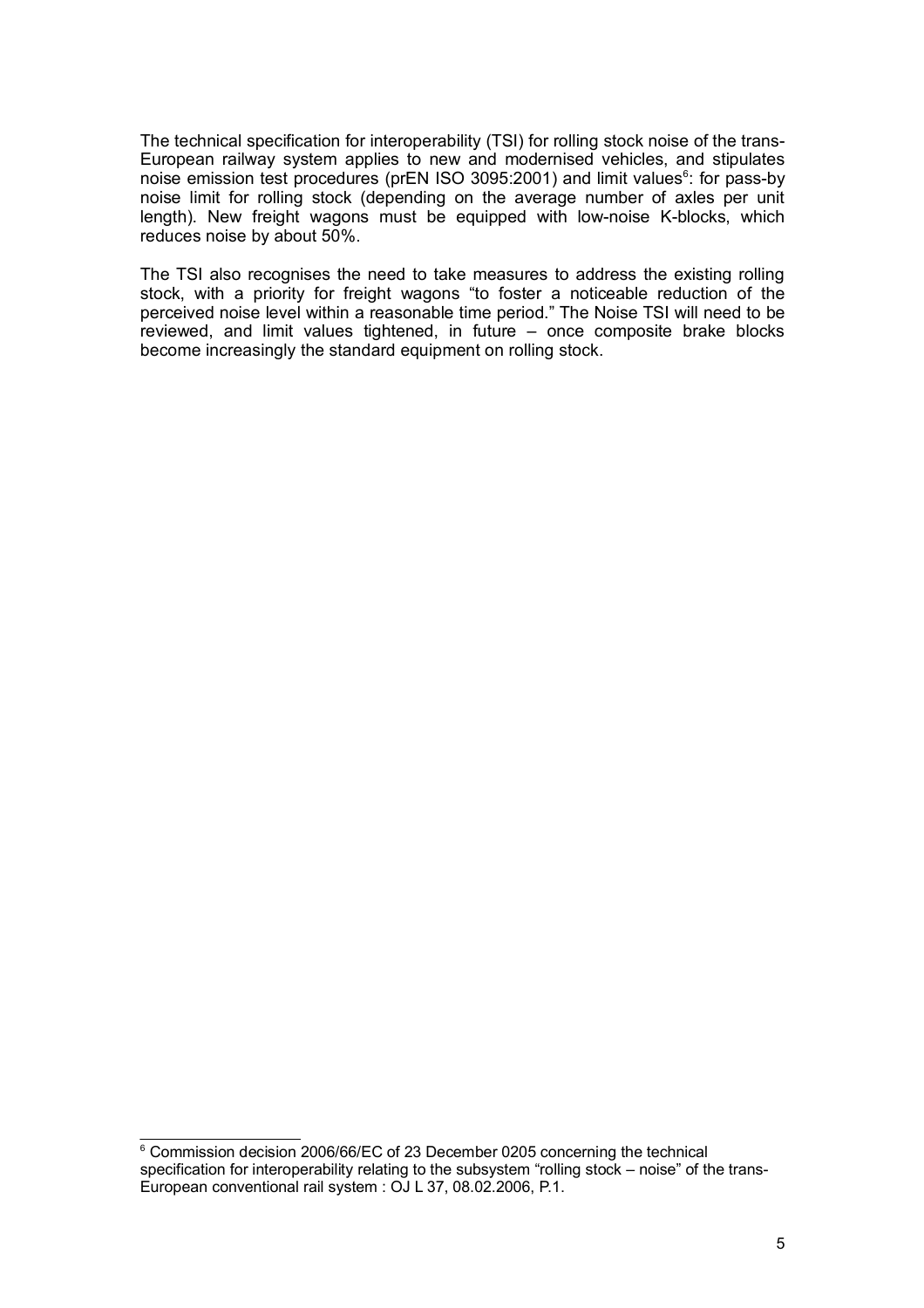The technical specification for interoperability (TSI) for rolling stock noise of the trans-European railway system applies to new and modernised vehicles, and stipulates noise emission test procedures (prEN ISO 3095:2001) and limit values<sup>6</sup>: for pass-by noise limit for rolling stock (depending on the average number of axles per unit length). New freight wagons must be equipped with low-noise K-blocks, which reduces noise by about 50%.

The TSI also recognises the need to take measures to address the existing rolling stock, with a priority for freight wagons "to foster a noticeable reduction of the perceived noise level within a reasonable time period." The Noise TSI will need to be reviewed, and limit values tightened, in future – once composite brake blocks become increasingly the standard equipment on rolling stock.

<sup>&</sup>lt;sup>6</sup> Commission decision 2006/66/EC of 23 December 0205 concerning the technical specification for interoperability relating to the subsystem "rolling stock – noise" of the trans-European conventional rail system : OJ L 37, 08.02.2006, P.1.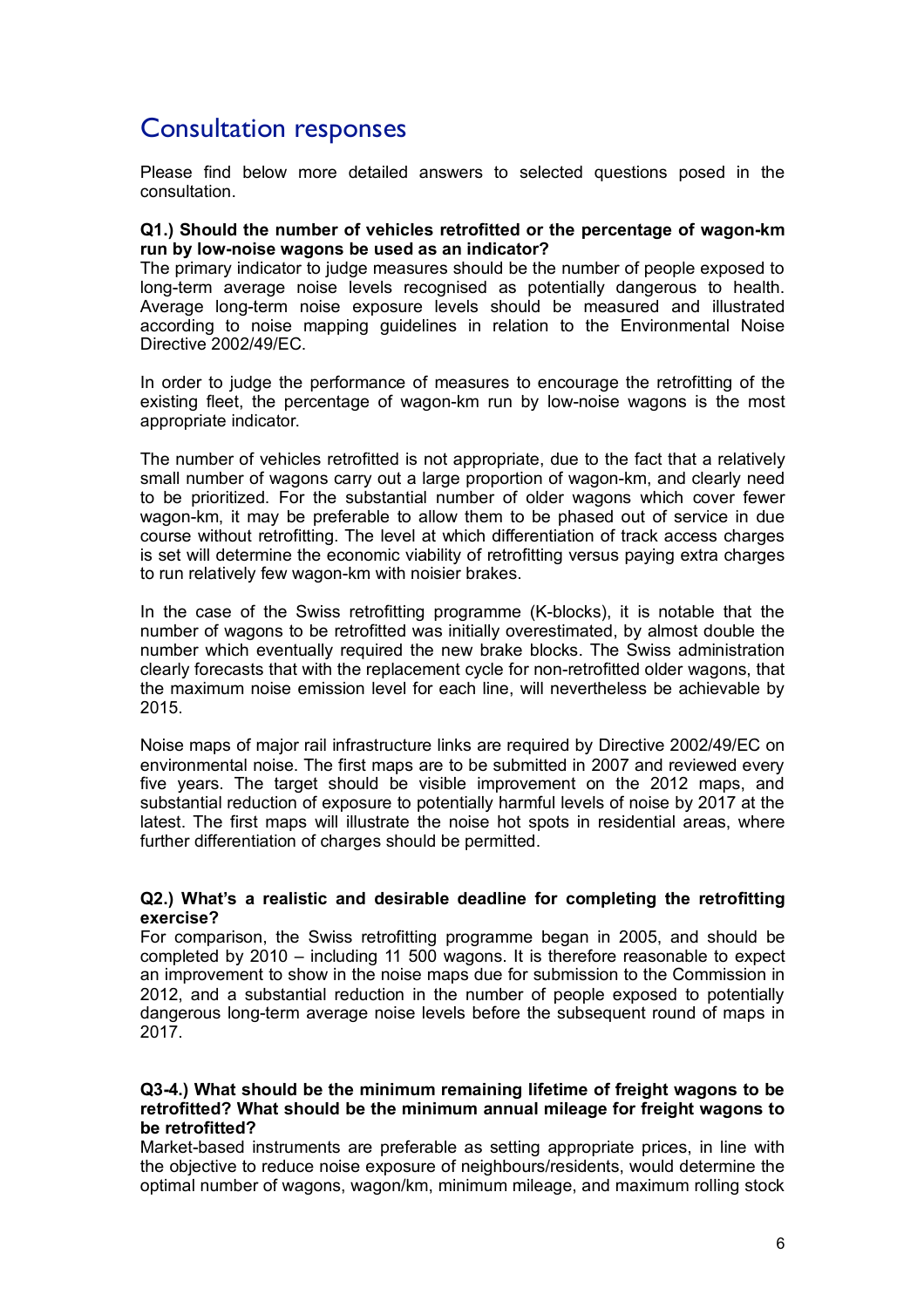## Consultation responses

Please find below more detailed answers to selected questions posed in the consultation.

#### **Q1.) Should the number of vehicles retrofitted or the percentage of wagon-km run by low-noise wagons be used as an indicator?**

The primary indicator to judge measures should be the number of people exposed to long-term average noise levels recognised as potentially dangerous to health. Average long-term noise exposure levels should be measured and illustrated according to noise mapping guidelines in relation to the Environmental Noise Directive 2002/49/EC.

In order to judge the performance of measures to encourage the retrofitting of the existing fleet, the percentage of wagon-km run by low-noise wagons is the most appropriate indicator.

The number of vehicles retrofitted is not appropriate, due to the fact that a relatively small number of wagons carry out a large proportion of wagon-km, and clearly need to be prioritized. For the substantial number of older wagons which cover fewer wagon-km, it may be preferable to allow them to be phased out of service in due course without retrofitting. The level at which differentiation of track access charges is set will determine the economic viability of retrofitting versus paying extra charges to run relatively few wagon-km with noisier brakes.

In the case of the Swiss retrofitting programme (K-blocks), it is notable that the number of wagons to be retrofitted was initially overestimated, by almost double the number which eventually required the new brake blocks. The Swiss administration clearly forecasts that with the replacement cycle for non-retrofitted older wagons, that the maximum noise emission level for each line, will nevertheless be achievable by 2015.

Noise maps of major rail infrastructure links are required by Directive 2002/49/EC on environmental noise. The first maps are to be submitted in 2007 and reviewed every five years. The target should be visible improvement on the 2012 maps, and substantial reduction of exposure to potentially harmful levels of noise by 2017 at the latest. The first maps will illustrate the noise hot spots in residential areas, where further differentiation of charges should be permitted.

#### **Q2.) What's a realistic and desirable deadline for completing the retrofitting exercise?**

For comparison, the Swiss retrofitting programme began in 2005, and should be completed by 2010 – including 11 500 wagons. It is therefore reasonable to expect an improvement to show in the noise maps due for submission to the Commission in 2012, and a substantial reduction in the number of people exposed to potentially dangerous long-term average noise levels before the subsequent round of maps in 2017.

#### **Q3-4.) What should be the minimum remaining lifetime of freight wagons to be retrofitted? What should be the minimum annual mileage for freight wagons to be retrofitted?**

Market-based instruments are preferable as setting appropriate prices, in line with the objective to reduce noise exposure of neighbours/residents, would determine the optimal number of wagons, wagon/km, minimum mileage, and maximum rolling stock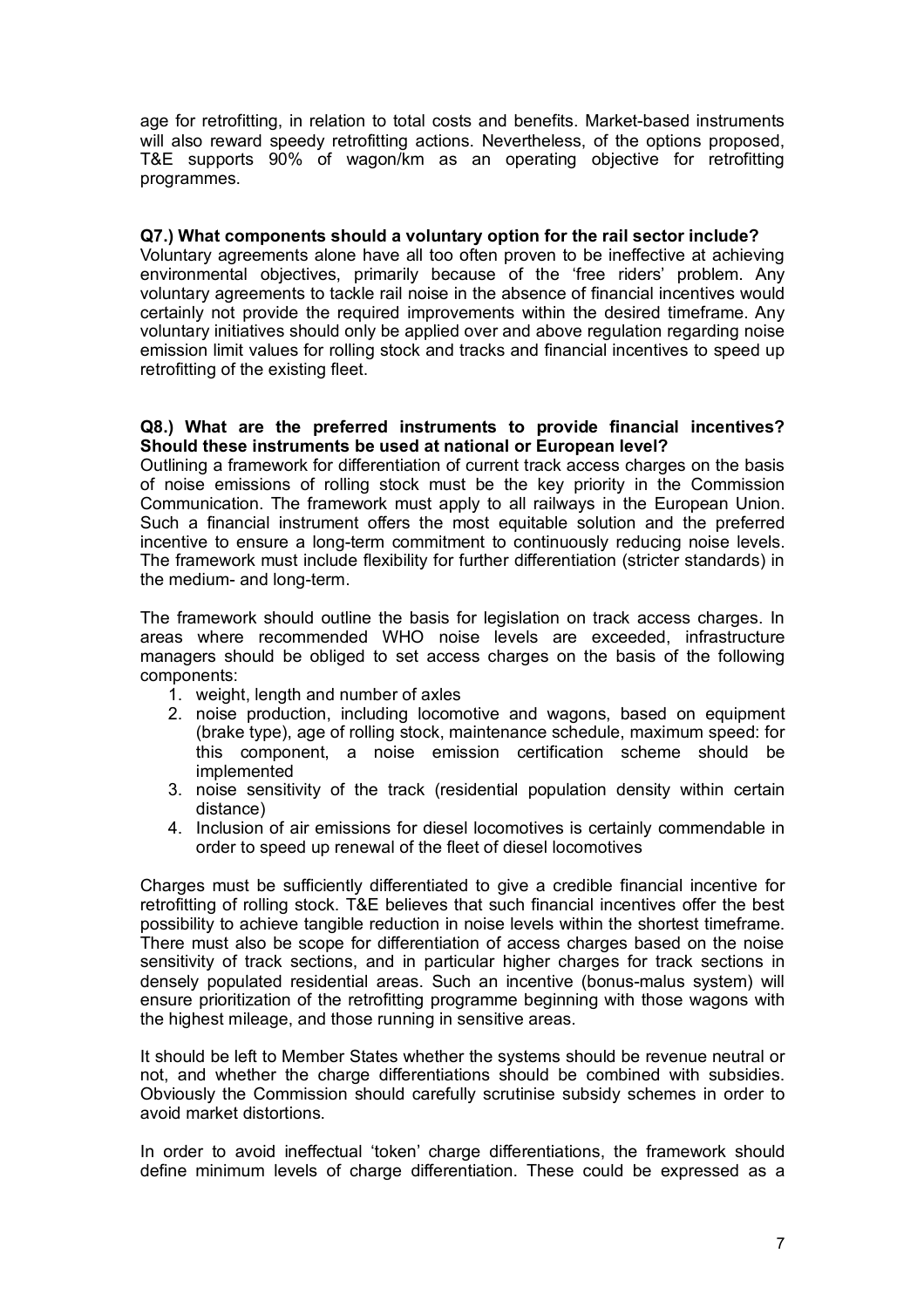age for retrofitting, in relation to total costs and benefits. Market-based instruments will also reward speedy retrofitting actions. Nevertheless, of the options proposed, T&E supports 90% of wagon/km as an operating objective for retrofitting programmes.

#### **Q7.) What components should a voluntary option for the rail sector include?**

Voluntary agreements alone have all too often proven to be ineffective at achieving environmental objectives, primarily because of the 'free riders' problem. Any voluntary agreements to tackle rail noise in the absence of financial incentives would certainly not provide the required improvements within the desired timeframe. Any voluntary initiatives should only be applied over and above regulation regarding noise emission limit values for rolling stock and tracks and financial incentives to speed up retrofitting of the existing fleet.

#### **Q8.) What are the preferred instruments to provide financial incentives? Should these instruments be used at national or European level?**

Outlining a framework for differentiation of current track access charges on the basis of noise emissions of rolling stock must be the key priority in the Commission Communication. The framework must apply to all railways in the European Union. Such a financial instrument offers the most equitable solution and the preferred incentive to ensure a long-term commitment to continuously reducing noise levels. The framework must include flexibility for further differentiation (stricter standards) in the medium- and long-term.

The framework should outline the basis for legislation on track access charges. In areas where recommended WHO noise levels are exceeded, infrastructure managers should be obliged to set access charges on the basis of the following components:

- 1. weight, length and number of axles
- 2. noise production, including locomotive and wagons, based on equipment (brake type), age of rolling stock, maintenance schedule, maximum speed: for this component, a noise emission certification scheme should be implemented
- 3. noise sensitivity of the track (residential population density within certain distance)
- 4. Inclusion of air emissions for diesel locomotives is certainly commendable in order to speed up renewal of the fleet of diesel locomotives

Charges must be sufficiently differentiated to give a credible financial incentive for retrofitting of rolling stock. T&E believes that such financial incentives offer the best possibility to achieve tangible reduction in noise levels within the shortest timeframe. There must also be scope for differentiation of access charges based on the noise sensitivity of track sections, and in particular higher charges for track sections in densely populated residential areas. Such an incentive (bonus-malus system) will ensure prioritization of the retrofitting programme beginning with those wagons with the highest mileage, and those running in sensitive areas.

It should be left to Member States whether the systems should be revenue neutral or not, and whether the charge differentiations should be combined with subsidies. Obviously the Commission should carefully scrutinise subsidy schemes in order to avoid market distortions.

In order to avoid ineffectual 'token' charge differentiations, the framework should define minimum levels of charge differentiation. These could be expressed as a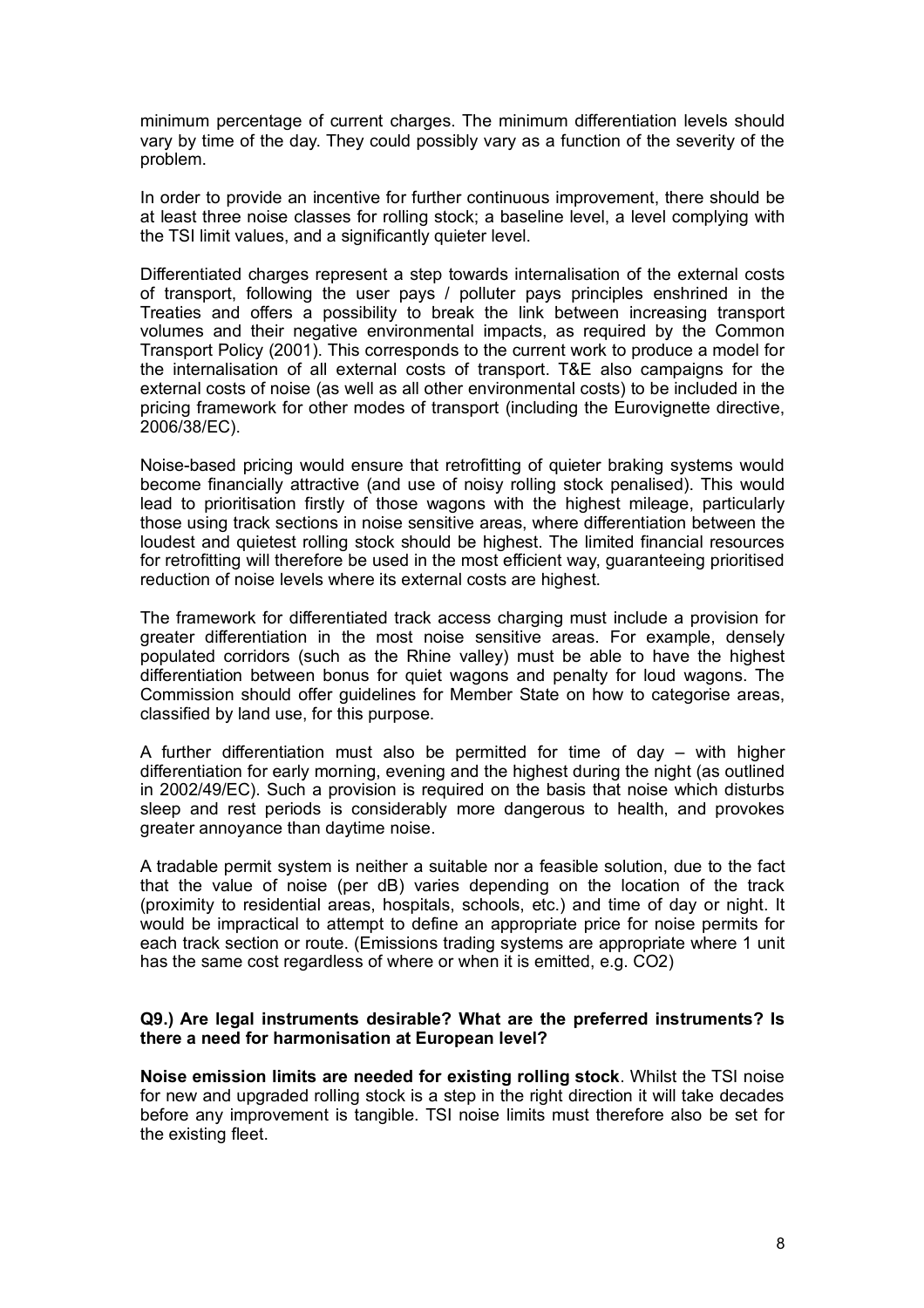minimum percentage of current charges. The minimum differentiation levels should vary by time of the day. They could possibly vary as a function of the severity of the problem.

In order to provide an incentive for further continuous improvement, there should be at least three noise classes for rolling stock; a baseline level, a level complying with the TSI limit values, and a significantly quieter level.

Differentiated charges represent a step towards internalisation of the external costs of transport, following the user pays / polluter pays principles enshrined in the Treaties and offers a possibility to break the link between increasing transport volumes and their negative environmental impacts, as required by the Common Transport Policy (2001). This corresponds to the current work to produce a model for the internalisation of all external costs of transport. T&E also campaigns for the external costs of noise (as well as all other environmental costs) to be included in the pricing framework for other modes of transport (including the Eurovignette directive, 2006/38/EC).

Noise-based pricing would ensure that retrofitting of quieter braking systems would become financially attractive (and use of noisy rolling stock penalised). This would lead to prioritisation firstly of those wagons with the highest mileage, particularly those using track sections in noise sensitive areas, where differentiation between the loudest and quietest rolling stock should be highest. The limited financial resources for retrofitting will therefore be used in the most efficient way, guaranteeing prioritised reduction of noise levels where its external costs are highest.

The framework for differentiated track access charging must include a provision for greater differentiation in the most noise sensitive areas. For example, densely populated corridors (such as the Rhine valley) must be able to have the highest differentiation between bonus for quiet wagons and penalty for loud wagons. The Commission should offer guidelines for Member State on how to categorise areas, classified by land use, for this purpose.

A further differentiation must also be permitted for time of day – with higher differentiation for early morning, evening and the highest during the night (as outlined in 2002/49/EC). Such a provision is required on the basis that noise which disturbs sleep and rest periods is considerably more dangerous to health, and provokes greater annoyance than daytime noise.

A tradable permit system is neither a suitable nor a feasible solution, due to the fact that the value of noise (per dB) varies depending on the location of the track (proximity to residential areas, hospitals, schools, etc.) and time of day or night. It would be impractical to attempt to define an appropriate price for noise permits for each track section or route. (Emissions trading systems are appropriate where 1 unit has the same cost regardless of where or when it is emitted, e.g. CO2)

#### **Q9.) Are legal instruments desirable? What are the preferred instruments? Is there a need for harmonisation at European level?**

**Noise emission limits are needed for existing rolling stock**. Whilst the TSI noise for new and upgraded rolling stock is a step in the right direction it will take decades before any improvement is tangible. TSI noise limits must therefore also be set for the existing fleet.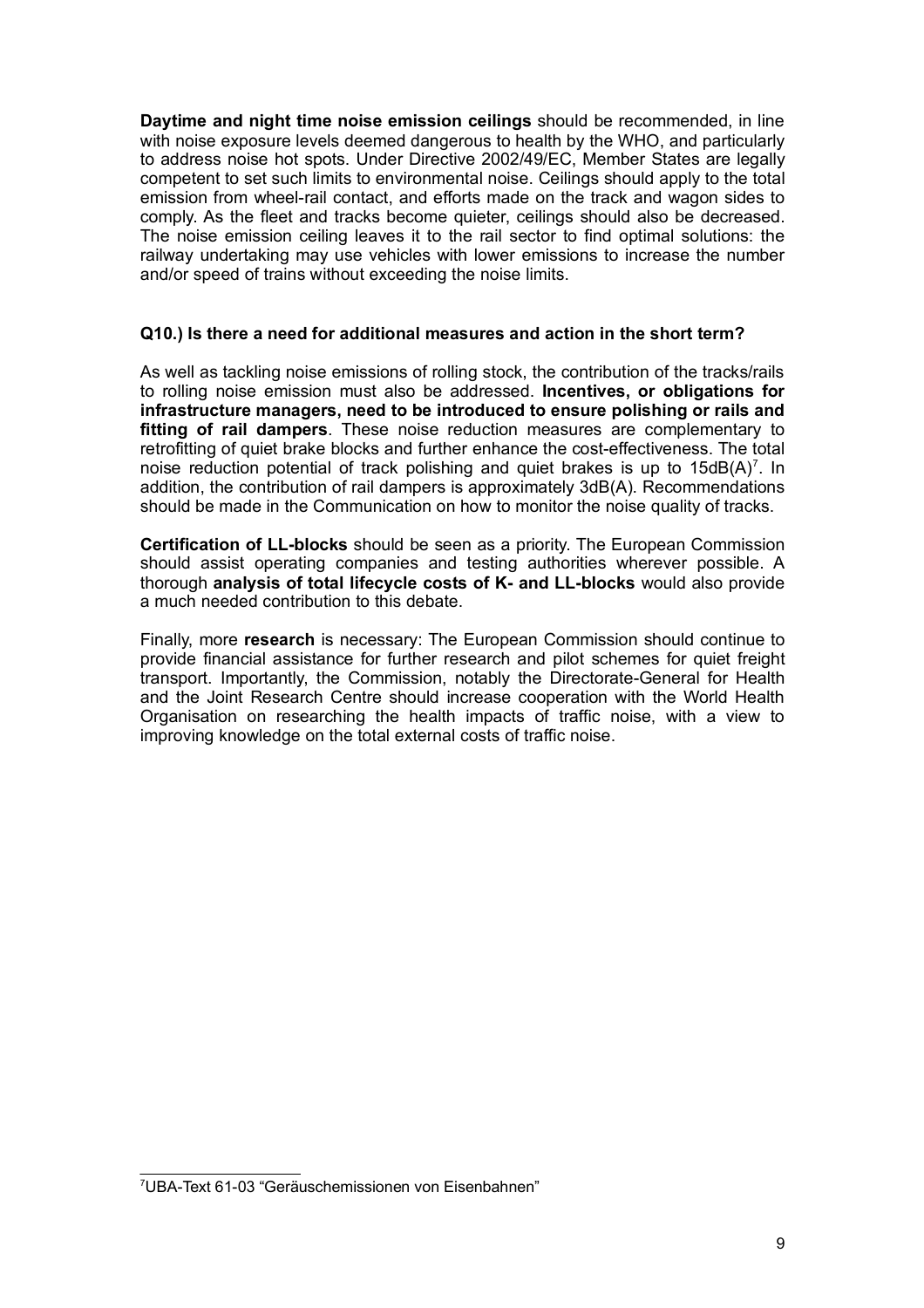**Daytime and night time noise emission ceilings** should be recommended, in line with noise exposure levels deemed dangerous to health by the WHO, and particularly to address noise hot spots. Under Directive 2002/49/EC, Member States are legally competent to set such limits to environmental noise. Ceilings should apply to the total emission from wheel-rail contact, and efforts made on the track and wagon sides to comply. As the fleet and tracks become quieter, ceilings should also be decreased. The noise emission ceiling leaves it to the rail sector to find optimal solutions: the railway undertaking may use vehicles with lower emissions to increase the number and/or speed of trains without exceeding the noise limits.

#### **Q10.) Is there a need for additional measures and action in the short term?**

As well as tackling noise emissions of rolling stock, the contribution of the tracks/rails to rolling noise emission must also be addressed. **Incentives, or obligations for infrastructure managers, need to be introduced to ensure polishing or rails and fitting of rail dampers**. These noise reduction measures are complementary to retrofitting of quiet brake blocks and further enhance the cost-effectiveness. The total noise reduction potential of track polishing and quiet brakes is up to  $15dB(A)^7$ . In addition, the contribution of rail dampers is approximately 3dB(A). Recommendations should be made in the Communication on how to monitor the noise quality of tracks.

**Certification of LL-blocks** should be seen as a priority. The European Commission should assist operating companies and testing authorities wherever possible. A thorough **analysis of total lifecycle costs of K- and LL-blocks** would also provide a much needed contribution to this debate.

Finally, more **research** is necessary: The European Commission should continue to provide financial assistance for further research and pilot schemes for quiet freight transport. Importantly, the Commission, notably the Directorate-General for Health and the Joint Research Centre should increase cooperation with the World Health Organisation on researching the health impacts of traffic noise, with a view to improving knowledge on the total external costs of traffic noise.

<sup>7</sup> UBA-Text 61-03 "Geräuschemissionen von Eisenbahnen"